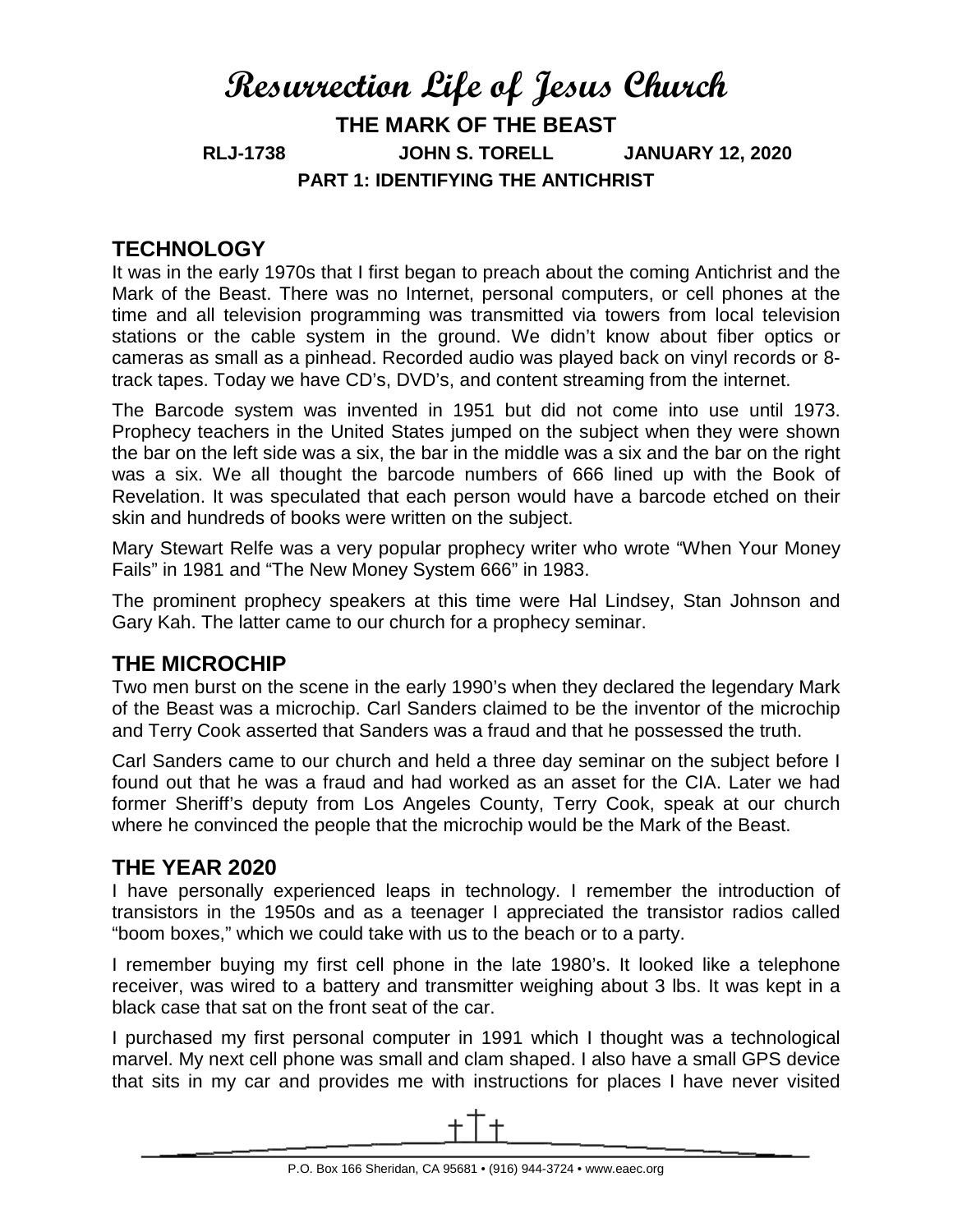# **Resurrection Life of Jesus Church THE MARK OF THE BEAST RLJ-1738 JOHN S. TORELL JANUARY 12, 2020 PART 1: IDENTIFYING THE ANTICHRIST**

# **TECHNOLOGY**

It was in the early 1970s that I first began to preach about the coming Antichrist and the Mark of the Beast. There was no Internet, personal computers, or cell phones at the time and all television programming was transmitted via towers from local television stations or the cable system in the ground. We didn't know about fiber optics or cameras as small as a pinhead. Recorded audio was played back on vinyl records or 8 track tapes. Today we have CD's, DVD's, and content streaming from the internet.

The Barcode system was invented in 1951 but did not come into use until 1973. Prophecy teachers in the United States jumped on the subject when they were shown the bar on the left side was a six, the bar in the middle was a six and the bar on the right was a six. We all thought the barcode numbers of 666 lined up with the Book of Revelation. It was speculated that each person would have a barcode etched on their skin and hundreds of books were written on the subject.

Mary Stewart Relfe was a very popular prophecy writer who wrote "When Your Money Fails" in 1981 and "The New Money System 666" in 1983.

The prominent prophecy speakers at this time were Hal Lindsey, Stan Johnson and Gary Kah. The latter came to our church for a prophecy seminar.

## **THE MICROCHIP**

Two men burst on the scene in the early 1990's when they declared the legendary Mark of the Beast was a microchip. Carl Sanders claimed to be the inventor of the microchip and Terry Cook asserted that Sanders was a fraud and that he possessed the truth.

Carl Sanders came to our church and held a three day seminar on the subject before I found out that he was a fraud and had worked as an asset for the CIA. Later we had former Sheriff's deputy from Los Angeles County, Terry Cook, speak at our church where he convinced the people that the microchip would be the Mark of the Beast.

## **THE YEAR 2020**

I have personally experienced leaps in technology. I remember the introduction of transistors in the 1950s and as a teenager I appreciated the transistor radios called "boom boxes," which we could take with us to the beach or to a party.

I remember buying my first cell phone in the late 1980's. It looked like a telephone receiver, was wired to a battery and transmitter weighing about 3 lbs. It was kept in a black case that sat on the front seat of the car.

I purchased my first personal computer in 1991 which I thought was a technological marvel. My next cell phone was small and clam shaped. I also have a small GPS device that sits in my car and provides me with instructions for places I have never visited

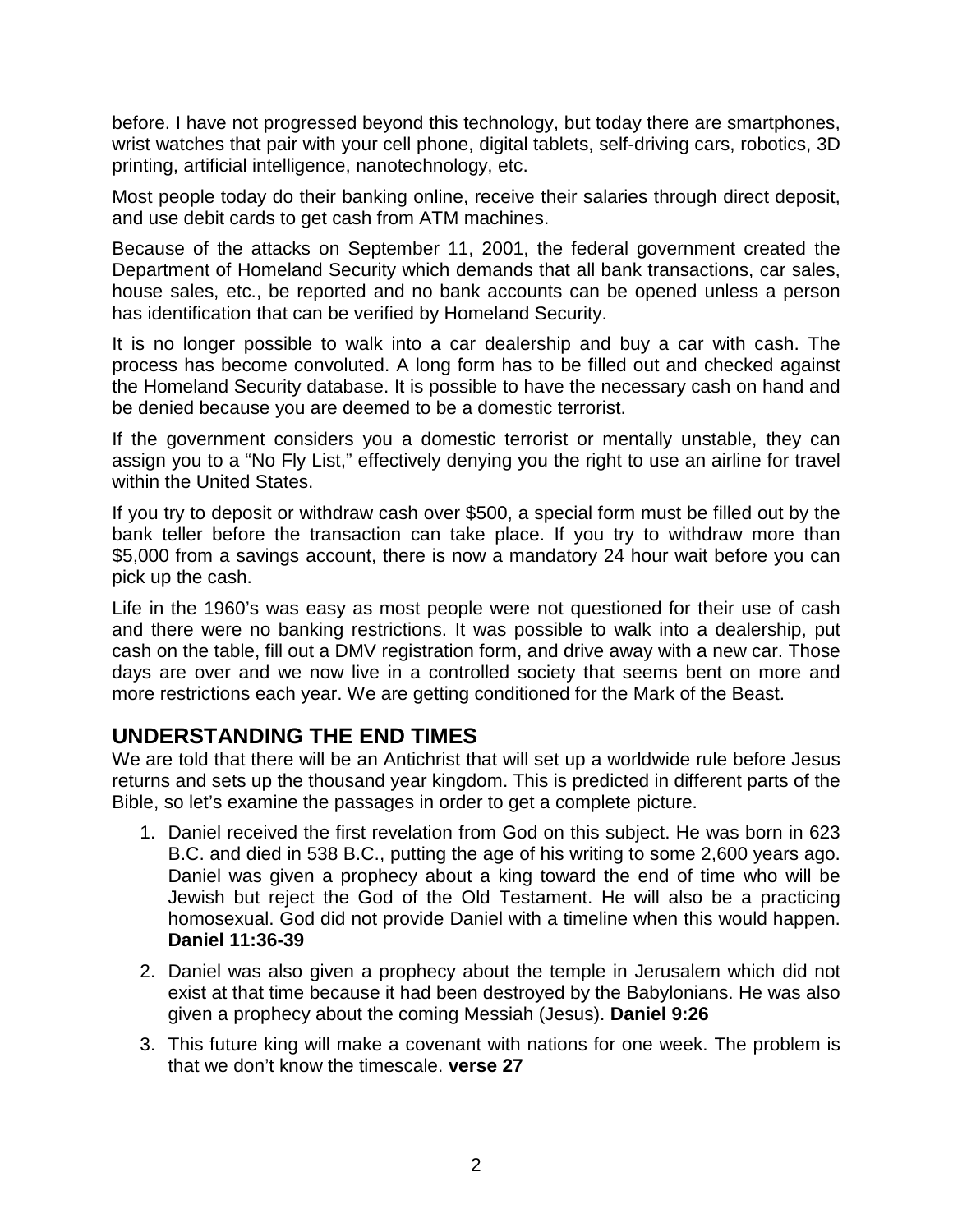before. I have not progressed beyond this technology, but today there are smartphones, wrist watches that pair with your cell phone, digital tablets, self-driving cars, robotics, 3D printing, artificial intelligence, nanotechnology, etc.

Most people today do their banking online, receive their salaries through direct deposit, and use debit cards to get cash from ATM machines.

Because of the attacks on September 11, 2001, the federal government created the Department of Homeland Security which demands that all bank transactions, car sales, house sales, etc., be reported and no bank accounts can be opened unless a person has identification that can be verified by Homeland Security.

It is no longer possible to walk into a car dealership and buy a car with cash. The process has become convoluted. A long form has to be filled out and checked against the Homeland Security database. It is possible to have the necessary cash on hand and be denied because you are deemed to be a domestic terrorist.

If the government considers you a domestic terrorist or mentally unstable, they can assign you to a "No Fly List," effectively denying you the right to use an airline for travel within the United States.

If you try to deposit or withdraw cash over \$500, a special form must be filled out by the bank teller before the transaction can take place. If you try to withdraw more than \$5,000 from a savings account, there is now a mandatory 24 hour wait before you can pick up the cash.

Life in the 1960's was easy as most people were not questioned for their use of cash and there were no banking restrictions. It was possible to walk into a dealership, put cash on the table, fill out a DMV registration form, and drive away with a new car. Those days are over and we now live in a controlled society that seems bent on more and more restrictions each year. We are getting conditioned for the Mark of the Beast.

# **UNDERSTANDING THE END TIMES**

We are told that there will be an Antichrist that will set up a worldwide rule before Jesus returns and sets up the thousand year kingdom. This is predicted in different parts of the Bible, so let's examine the passages in order to get a complete picture.

- 1. Daniel received the first revelation from God on this subject. He was born in 623 B.C. and died in 538 B.C., putting the age of his writing to some 2,600 years ago. Daniel was given a prophecy about a king toward the end of time who will be Jewish but reject the God of the Old Testament. He will also be a practicing homosexual. God did not provide Daniel with a timeline when this would happen. **Daniel 11:36-39**
- 2. Daniel was also given a prophecy about the temple in Jerusalem which did not exist at that time because it had been destroyed by the Babylonians. He was also given a prophecy about the coming Messiah (Jesus). **Daniel 9:26**
- 3. This future king will make a covenant with nations for one week. The problem is that we don't know the timescale. **verse 27**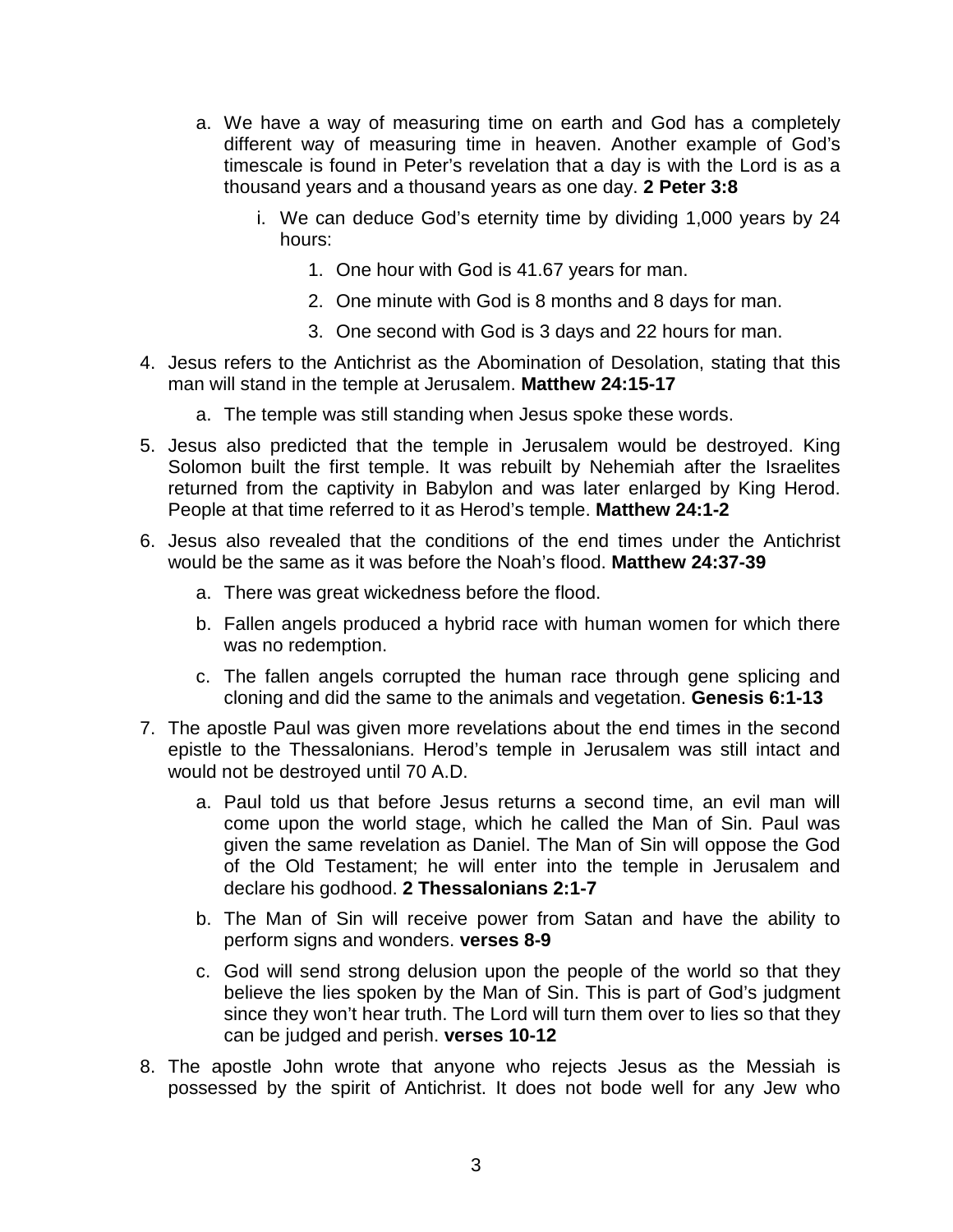- a. We have a way of measuring time on earth and God has a completely different way of measuring time in heaven. Another example of God's timescale is found in Peter's revelation that a day is with the Lord is as a thousand years and a thousand years as one day. **2 Peter 3:8**
	- i. We can deduce God's eternity time by dividing 1,000 years by 24 hours:
		- 1. One hour with God is 41.67 years for man.
		- 2. One minute with God is 8 months and 8 days for man.
		- 3. One second with God is 3 days and 22 hours for man.
- 4. Jesus refers to the Antichrist as the Abomination of Desolation, stating that this man will stand in the temple at Jerusalem. **Matthew 24:15-17**
	- a. The temple was still standing when Jesus spoke these words.
- 5. Jesus also predicted that the temple in Jerusalem would be destroyed. King Solomon built the first temple. It was rebuilt by Nehemiah after the Israelites returned from the captivity in Babylon and was later enlarged by King Herod. People at that time referred to it as Herod's temple. **Matthew 24:1-2**
- 6. Jesus also revealed that the conditions of the end times under the Antichrist would be the same as it was before the Noah's flood. **Matthew 24:37-39**
	- a. There was great wickedness before the flood.
	- b. Fallen angels produced a hybrid race with human women for which there was no redemption.
	- c. The fallen angels corrupted the human race through gene splicing and cloning and did the same to the animals and vegetation. **Genesis 6:1-13**
- 7. The apostle Paul was given more revelations about the end times in the second epistle to the Thessalonians. Herod's temple in Jerusalem was still intact and would not be destroyed until 70 A.D.
	- a. Paul told us that before Jesus returns a second time, an evil man will come upon the world stage, which he called the Man of Sin. Paul was given the same revelation as Daniel. The Man of Sin will oppose the God of the Old Testament; he will enter into the temple in Jerusalem and declare his godhood. **2 Thessalonians 2:1-7**
	- b. The Man of Sin will receive power from Satan and have the ability to perform signs and wonders. **verses 8-9**
	- c. God will send strong delusion upon the people of the world so that they believe the lies spoken by the Man of Sin. This is part of God's judgment since they won't hear truth. The Lord will turn them over to lies so that they can be judged and perish. **verses 10-12**
- 8. The apostle John wrote that anyone who rejects Jesus as the Messiah is possessed by the spirit of Antichrist. It does not bode well for any Jew who